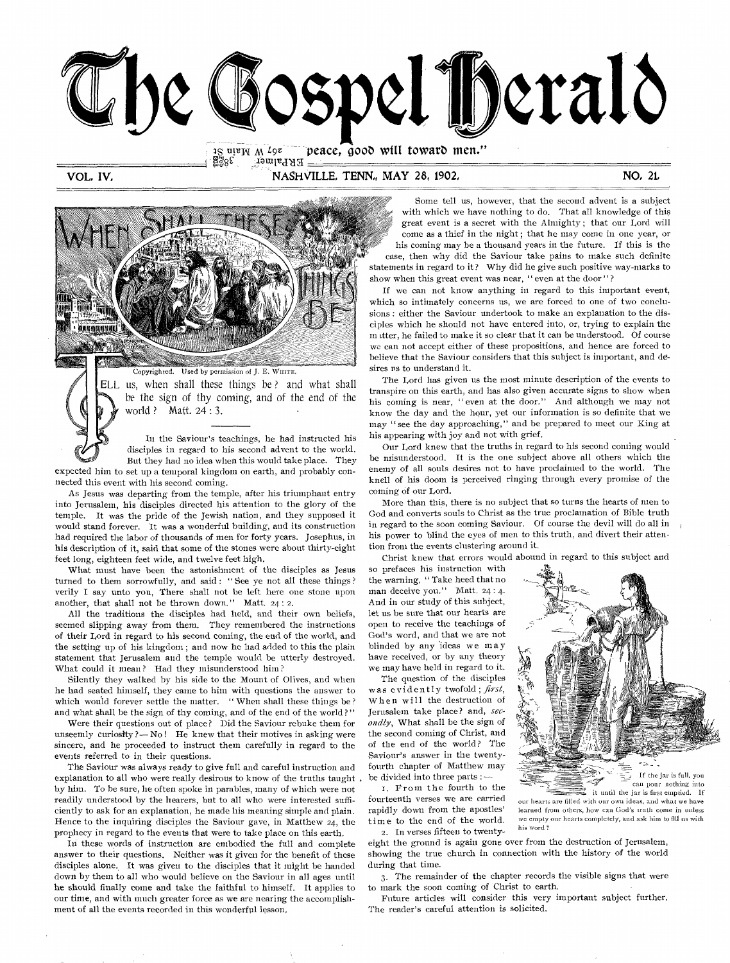

 $\frac{15}{25}$ uie $\frac{1}{25}$  M  $\frac{1}{9}$ z  $\frac{1}{25}$  peace, good will toward men." PRPalmer

VOL, IV, NASHVILLE, TENN, MAY 28, 1902, NO, 21, NO, 21, NO, 21, NO, 21, NO, 21, NO, 21, NO, 21, NO, 21, NO, 20, NO, 21, NO, 21, NO, 21, NO, 21, NO, 21, NO, 21, NO, 21, NO, 21, NO, 21, NO, 21, NO, 21, NO, 21, NO, 21, NO, 21



ELL us, when shall these things be ? and what shall *be* the sign of thy coming, and of the end of the world ? Matt. 24 : 3.

In the Saviour's teachings, he had instructed his disciples in regard to his second advent to the world. But they had no idea when this would take place. They expected him to set up a temporal kingdom on earth, and probably con-

nected this event with his second coming.

As Jesus was departing from the temple, after his triumphant entry into Jerusalem, his disciples directed his attention to the glory of the temple. It was the pride of the Jewish nation, and they supposed it would stand forever. It was a wonderful building, and its construction had required the labor of thousands of men for forty years. Josephus, in his description of it, said that some of the stones were about thirty-eight feet long, eighteen feet wide, and twelve feet high.

What must have been the astonishment of the disciples as Jesus turned to them sorrowfully, and said : " See ye not all these things ? verily I say unto you, There shall not be left here one stone upon another, that shall not be thrown down." Matt. 24: 2.

All the traditions the disciples had held, and their own beliefs, seemed slipping away from them. They remembered the instructions of their Lord in regard to his second coming, the end of the world, and the setting up of his kingdom ; and now he had added to this the plain statement that Jerusalem and the temple would be utterly destroyed. What could it mean? Had they misunderstood him?

Silently they walked by his side to the Mount of Olives, and when he had seated himself, they came to him with questions the answer to which would forever settle the matter. "When shall these things be? and what shall be the sign of thy coming, and of the end of the world?"

Were their questions out of place? Did the Saviour rebuke them for unseemly curiosity ?— No ! He knew that their motives in asking were sincere, and he proceeded to instruct them carefully in regard to the events referred to in their questions.

The Saviour was always ready to give full and careful instruction and explanation to all who were really desirous to know of the truths taught. by him. To be sure, he often spoke in parables, many of which were not readily understood by the hearers, but to all who were interested sufficiently to ask for an explanation, he made his meaning simple and plain. Hence to the inquiring disciples the Saviour gave, in Matthew 24, the prophecy in regard to the events that were to take place on this earth.

In these words of instruction are embodied the full and complete answer to their questions. Neither was it given for the benefit of these disciples alone. It was given to the disciples that it might be handed down by them to all who would believe on the Saviour in all ages until he should finally come and take the faithful to himself. It applies to our time, and with much greater force as we are nearing the accomplishment of all the events recorded in this wonderful lesson,

Some tell us, however, that the second advent is a subject with which we have nothing to do. That all knowledge of this great event is a secret with the Almighty ; that our Lord will come as a thief in the night ; that he may come in one year, or his coming may be a thousand years in the future. If this is the case, then why did the Saviour take pains to make such definite statements in regard to it? Why did he give such positive way-marks to show when this great event was near, " even at the door"?

If we can not know anything in regard to this important event, which so intimately concerns us, we are forced to one of two conclusions : either the Saviour undertook to make an explanation to the disciples which he should not have entered into, or, trying to explain the m itter, he failed to make it so clear that it can be understood. Of course we can not accept either of these propositions, and hence are forced to believe that the Saviour considers that this subject is important, and desires us to understand it.

The Lord has given us the most minute description of the events to transpire on this earth, and has also given accurate signs to show when his coming is near, " even at the door." And although we may not know the day and the hour, yet our information is so definite that we may " see the day approaching," and be prepared to meet our King at his appearing with joy and not with grief.

Our Lord knew that the truths in regard to his second coming would be misunderstood. It is the one subject above all others which the enemy of all souls desires not to have proclaimed to the world. The knell of his doom is perceived ringing through every promise of the coming of our Lord.

More than this, there is no subject that so turns the hearts of men to God and converts souls to Christ as the true proclamation of Bible truth in regard to the soon coming Saviour. Of course the devil will do all in his power to blind the eyes of men to this truth, and divert their attention from the events clustering around it.

Christ knew that errors would abound in regard to this subject and

so prefaces his instruction with the warning, " Take heed that no man deceive you." Matt. 24:4. And in our study of this subject, let us be sure that our hearts are open to receive the teachings of God's word, and that we are not blinded by any ideas we may have received, or by any theory we may have held in regard to it.

The question of the disciples was evidently twofold; *first,*  When will the destruction of Jerusalem take place? and, *secondly,* What shall be the sign of the second coming of Christ, and of the end of the world? The Saviour's answer in the twentyfourth chapter of Matthew may be divided into three parts :—

I. From the fourth to the fourteenth verses we are carried rapidly down from the apostles' time to the end of the world. 2. In verses fifteen to twenty-



If the jar is full, you can pour nothing into it until the jar is first emptied. If

our hearts are filled with our own ideas, and what we have learned from others, how can God's truth come in unless we empty our hearts completely, and ask him to fill us with his word ?

-9

eight the ground is again gone over from the destruction of Jerusalem, showing the true church in connection with the history of the world during that time.

3. The remainder of the chapter records the visible signs that were to mark the soon coming of Christ to earth.

Future articles will consider this very important subject further. The reader's careful attention is solicited.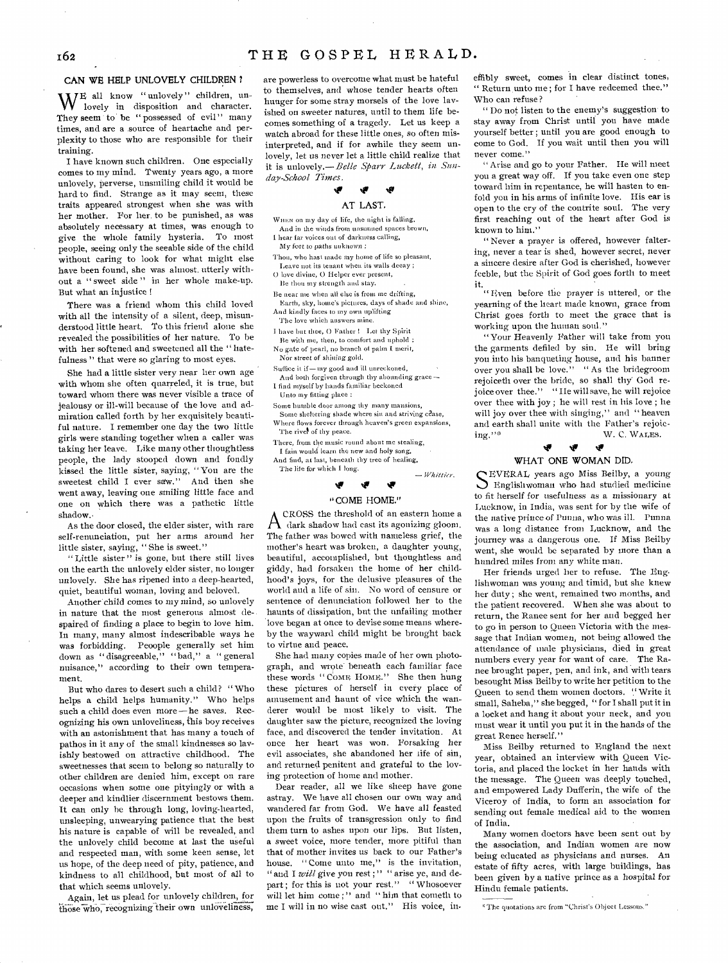### CAN WE HELP UNLOVELY CHILDREN ?

WE all know "unlovely" children, un-<br>lovely in disposition and character. lovely in disposition and character. They seem to be "possessed of evil" many times, and are a source of heartache and perplexity to those who are responsible for their training.

I have known such children. One especially comes to my mind. Twenty years ago, a more unlovely, perverse, unsmiling child it would be hard to find. Strange as it may seem, these traits appeared strongest when she was with her mother. For her to be punished, as was absolutely necessary at times, was enough to give the whole family hysteria. To most people, seeing only the seeable side of the child without caring to look for what might else have been found, she was almost, utterly without a " sweet side " in her whole make-up. But what an injustice

There was a friend whom this child loved with all the intensity of a silent, deep, misunderstood little heart. To this friend alone she revealed the possibilities of her nature. To be with her softened and sweetened all the " hatefulness " that were so glaring to most eyes.

She had a little sister very near her own age with whom she often quarreled, it is true, but toward whom there was never visible a trace of jealousy or ill-will because of the love and admiration called forth by her exquisitely beautiful nature. I remember one day the two little girls were standing together when a caller was taking her leave. Like many other thoughtless people, the lady stooped down and fondly kissed the little sister, saying, " You are the sweetest child I ever saw." And then she went away, leaving one smiling little face and one on which there was a pathetic little shadow.•

As the door closed, the elder sister, with rare self-renunciation, put her arms around her little sister, saying, " She is sweet."

"Little sister" is gone, but there still lives on the earth the unlovely elder sister, no longer unlovely. She has ripened into a deep-hearted, quiet, beautiful woman, loving and beloved.

Another child comes to my mind, so unlovely in nature that the most generous almost despaired of finding a place to begin to love him. In many, many almost indescribable ways he was forbidding. Peoople generally set him down as "disagreeable," "bad," a "general nuisance," according to their own temperament.

But who dares to desert such a child? " Who helps a child helps humanity." Who helps such a child does even more-he saves. Recognizing his own unloveliness, this boy receives with an astonishment that has many a touch of pathos in it any of the small kindnesses so lavishly bestowed on attractive childhood. The sweetnesses that seem to belong so naturally to other children are denied him, except on rare occasions when some one pityingly or with a deeper and kindlier discernment bestows them. It can only he through long, loving-hearted, unsleeping, unwearying patience that the best his nature is capable of will be revealed, and the unlovely child become at last the useful and respected man, with some keen sense, let us hope, of the deep need of pity, patience, and kindness to all childhood, but most of all to that which seems unlovely.

Again, let us plead for unlovely children, for those who, recognizing their own unloveliness, are powerless to overcome what must be hateful to themselves, and 'whose tender hearts often hunger for some stray morsels of the love lavished on sweeter natures, until to them life becomes something of a tragedy. Let us keep a watch abroad for these little ones, so often misinterpreted, and if for awhile they seem unlovely, let us never let a little child realize that it is unlovely.-- Belle Sparr Luckett, in Sun*day-School Times* 

### ŵ

### AT LAST,

WHEN on my day of life, the night is falling, And in the winds from unsunned spaces brown, 1 hear far voices out of darkness calling,

My feet to paths *unknown*  Thou, who hast made my home of life so pleasant,

Leave not its tenant when its walls decay ; 0 love divine, 0 Helper ever present, Be thou my strength and stay.

Be near me when all else is from me drifting,

Earth, sky, home's pictures, days of shade and shine, And kindly faces to my own uplifting

The love which answers mine.

I have but thee, 0 Father ! I,et thy Spirit

Be with me, then, to comfort and uphold ; No gate of pearl, no branch of palm I merit,

*Nor* street *of* shining gold. Suffice it if—my good and ill unreckoned,

And both forgiven through thy abounding grace — I find myself by hands familiar beckoned

Unto my fitting place :

Some humble door among thy many mansions, Some sheltering shade where sin and striving cease, Where flows forever through heaven's green expansions, The river of thy peace.

There, from the music round about me stealing, I fain would learn the new and holy song,

And find, at last, beneath thy tree of healing,

The life for which I long.

#### **41**  ₩ Ŵ

*— Whittier.* 

### "COME HOME."

A CROSS the threshold of an eastern home a<br>dark shadow had cast its agonizing gloom. CROSS the threshold of an eastern home a The father was bowed with nameless grief, the mother's heart was broken, a daughter young, beautiful, accomplished, but thoughtless and giddy, had forsaken the home of her childhood's joys, for the delusive pleasures of the world and a life of sin. No word of censure or sentence of denunciation followed her to the haunts of dissipation, but the unfailing mother love began at once to devise some means whereby the wayward child might be brought back to virtue and peace.

She had many copies made of her own photograph, and wrote' beneath each familiar face these words "COME HOME." She then hung these pictures of herself in every place of amusement and haunt of vice which the wanderer would be most likely to visit. The daughter saw the picture, recognized the loving face, and discovered the tender invitation. At once her heart was won. Forsaking her evil associates, she abandoned her life of sin, and returned penitent and grateful to the loving protection of home and mother.

Dear reader, all we like sheep have gone astray. We have all chosen our own way and wandered far from God. We have all feasted upon the fruits of transgression only to find them turn to ashes upon our lips. But listen, a sweet voice, more tender, more pitiful than that of mother invites us back to our Father's house. " Come unto me," is the invitation, "and I *will* give you rest;" "arise ye, and depart; for this is not your rest." "Whosoever will let him come;" and "him that cometh to me I will in no wise cast out." His voice, ineffibly sweet, comes in clear distinct tones, " Return, unto me; for I have redeemed thee." Who can refuse?

" Do not listen to the enemy's suggestion to stay away from Christ until you have made yourself better ; until you are good enough to come to God. If you wait until then you will never come."

" Arise and go to your Father. He will meet you a great way off. If you take even one step toward him in repentance, he will hasten to enfold you in his arms of infinite love. His ear is open to the cry of the contrite soul. The very first reaching out of the heart after God is known to him."

" Never a prayer is offered, however faltering, never a tear is shed, however secret, never a sincere desire after God is cherished, however feeble, but the Spirit of God goes forth to meet

it. " Even before the prayer is uttered, or the yearning of the heart made known, grace from Christ goes forth to meet the grace that is working upon the human soul."

"Your Heavenly Father will take from you the garments defiled by sin. He will bring you into his banqueting house, and his banner over you shall be love." " As the bridegroom rejoiceth over the bride, so shall thy' God rejoice over thee." "IIe will save, he will rejoice over thee with joy ; he will rest in his love ; he will joy over thee with singing," and "heaven and earth shall unite with the Father's rejoicing."\*  $$\rm W.~C.~W{\rm a}I{\rm e}$  . W. C. WALES.

#### tif tiv WHAT ONE WOMAN DID.

SEVERAL years ago Miss Beilby, a young<br>
Senglishwoman who had studied medicine EVERAL years ago Miss Beilby, a young to fit herself for usefulness as a missionary at Lucknow, in India, was sent for by the wife of the native prince *of* Punna, who *was* ill. Punna was a long distance from Lucknow, and the journey was a dangerous one. If Miss Beilby went, she would be separated by more than a hundred miles from any white man.

Her friends urged her to refuse. The Englishwoman was young and timid, but she knew her duty ; she went, remained two months, and the patient recovered. When she was about to return, the Ranee sent for her and begged her to go in person to Queen Victoria with the message that Indian women, not being allowed the attendance of male physicians, died in great numbers every year for want of care. The Ranee brought paper, pen, and ink, and with tears besought Miss Beilby to write her petition to the Queen to send them women doctors. "Write it small, Saheba," she begged, " for I shall put it in a locket and hang it about your neck, and you must wear it until you put it in the hands of the great Renee herself."

Miss Beilby returned to England the next year, obtained an interview with Queen Victoria, and placed the locket in her hands with the message. The Queen was deeply touched, and empowered Lady Dufferin, the wife of the Viceroy of India, to form an association for sending out female medical aid to the women of India.

Many women doctors have been sent out by the association, and Indian women are now being educated as physicians and nurses. An estate of fifty acres, with large buildings, has been given by a native prince as a hospital for Hindu female patients.

<sup>&</sup>lt;sup>\*</sup> The quotations are from "Christ's Object Lessons."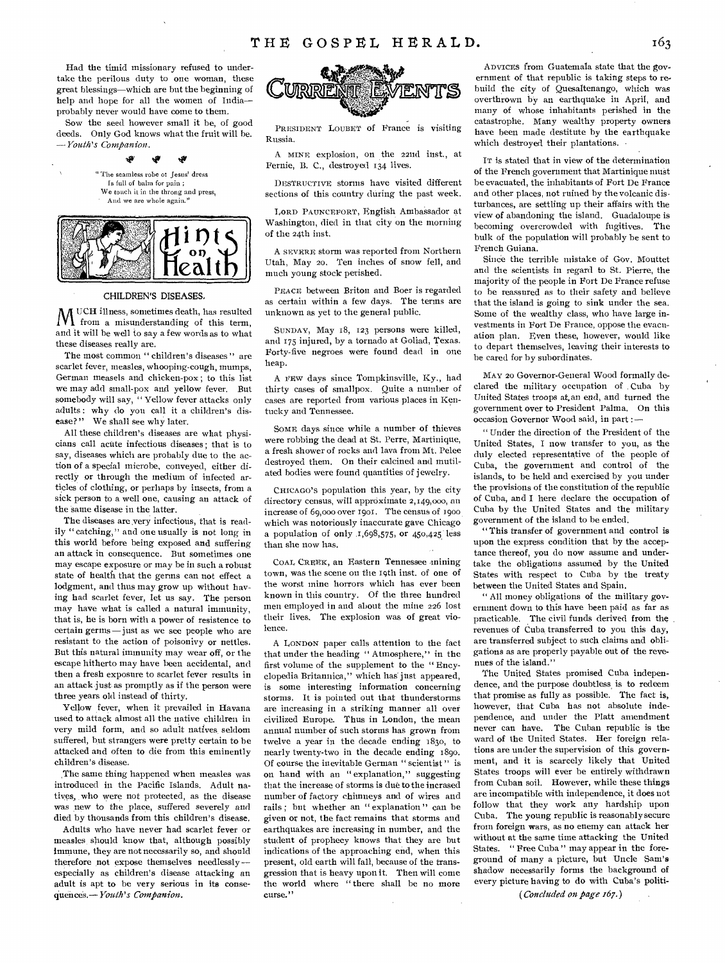Had the timid missionary refused to undertake the perilous duty to one woman, these great blessings—which are but the beginning of help and hope for all the women of India probably never would have come to them.

Sow the seed however small it be, of good deeds. Only God knows what the fruit will be. *—Youth's Companion.* 

\$€

ی. تلد

"The seamless robe of Jesus' dress Is full of balm for pain ; We touch it in the throng and press, And we are whole again."



### CHILDREN'S DISEASES.

UCH illness, sometimes death, has resulted VI from a misunderstanding of this term, and it will be well to say a few words as to what these diseases really are.

The most common " children's diseases" are scarlet fever, measles, whooping-cough, mumps, German measels and chicken-pox ; to this list we may add small-pox and yellow fever. But somebody will say, " Yellow fever attacks only adults : why do you call it a children's disease?" We shall see why later.

All these children's diseases are what physicians call acute infectious diseases ; that is to say, diseases which are probably due to the action of a special microbe, conveyed, either directly or through the medium of infected articles of clothing, or perhaps by insects, from a sick person to a well one, causing an attack of the same disease in the latter.

The diseases are very infectious, that is readily "catching," and one usually is not long in this world before being exposed and suffering an attack in consequence. But sometimes one may escape exposure or may be in such a robust state of health that the germs can not effect a lodgment, and thus may grow up without having bad scarlet fever, let us say. The person may have what is called a natural immunity, that is, he is born with a power of resistence to certain germs —just as we see people who are resistant to the action of poisonivy or nettles. But this natural immunity may wear off, or the escape hitherto may have been accidental, and then a fresh exposure to scarlet fever results in an attack just as promptly as if the person were three years old instead of thirty.

Yellow fever, when it prevailed in Havana used to attack almost all the native children in very mild form, and so adult natives, seldom suffered, but strangers were pretty certain to be attacked and often to die from this eminently children's disease.

The same thing happened when measles was introduced in the Pacific Islands. Adult natives, who were not protected, as the disease was new to the place, suffered *severely* and died by thousands from this children's disease.

Adults who have never had scarlet fever or measles, should know that, although possibly immune, they are not necessarily so, and should therefore not expose themselves needlessly especially as children's disease attacking an adult is apt to be very serious in its consequences.— *Youth's Companion.* 



PRESIDENT LOUBET of France is visiting Russia.

A MINE explosion, on the 22nd inst., at Fernie, B. C., destroyed 134 lives.

DESTRUCTIVE storms have visited different sections of this country during the past week.

LORD PAUNCEFORT, English Ambassador at Washington, died in that city on the morning of the 24th inst.

A SEVERE storm was reported from Northern Utah, May 20. Ten inches of snow fell, and much young stock perished.

PEACE between Briton and Boer is regarded as certain within a few days. The terms are unknown as yet to the general public.

SUNDAY, May 18, 123 persons were killed, and 175 injured, by a tornado at Goliad, Texas. Forty-five negroes were found dead in one heap.

A FEW days since Tompkinsville, Ky., had thirty cases of smallpox. Quite a number of cases are reported from various places in Kentucky and Tennessee.

SOME days since while a number of thieves were robbing the dead at St. Perre, Martinique, a fresh shower of rocks and lava front Mt. Pelee destroyed them. On their calcined and mutilated bodies were found quantities of jewelry.

CHICAGO'S population this year, by the city directory census, will approximate 2,149,000, au increase of 69,000 over 1901. The census of 1900 which was notoriously inaccurate gave Chicago a population of only  $1,698,575$ , or  $450,425$  less than she now has.

COAL CREEK, an Eastern Tennessee mining town, was the scene on the 19th inst. of one of the worst mine horrors which has ever been known in this country. Of the three hundred men employed in and about the mine 226 lost their lives. The explosion was of great violence.

A LONDON paper calls attention to the fact that under the heading " Atmosphere," in the first volume of the supplement to the " Encyclopedia Britannica," which has just appeared, is some interesting information concerning storms. It is pointed out that thunderstorms are increasing in a striking manner all over civilized Europe. Thus in London, the mean annual number of such storms has grown from twelve a year in the decade ending 1830, to nearly twenty-two in the decade ending 189o. Of course the inevitable German " scientist" is on hand with an " explanation," suggesting that the increase of storms is due to the incrased number of factory chimneys and of wires and rails ; but whether an " explanation " can be given or not, the fact remains that storms and earthquakes are increasing in number, and the student of prophecy knows that they are but indications of the approaching end, when this present, old earth will fall, because of the transgression that is heavy upon it. Then will come the world where "there shall be no more curse."

ADVICES from Guatemala state that the government of that republic is taking steps to rebuild the city of Quesaltenango, which *was*  overthrown by an earthquake in April, and many of whose inhabitants perished in the catastrophe. Many wealthy property owners have been made destitute by the earthquake which destroyed their plantations.

IT is stated that in view of the determination of the French government that Martinique must be evacuated, the inhabitants of Fort De France and other places, not ruined by the volcanic disturbances, are settling up their affairs with the view of abandoning the island. Guadaloupe is becoming overcrowded with fugitives. The bulk of the population will probably be sent to French Guiana.

Since the terrible mistake of Gov. Mouttet and the scientists in regard to St. Pierre, the majority of the people in Fort De France refuse to be reassured as to their safety and believe that the island is going to sink under the sea. Some of the wealthy class, who have large investments in Fort De France, oppose the evacuation plan. Even these, however, would like to depart themselves, leaving their interests to be cared for by subordinates.

MAY 20 Governor-General Wood formally declared the military occupation of Cuba by United States troops at,an end, and turned the government over to President Palma. On this occasion Governor Wood said, in part :—

" Under the direction of the President of the United States, I now transfer to you, as the duly elected representative of the people of Cuba, the government and control of the islands, to be held and exercised by you under the provisions of the constitution of the republic of Cuba, and I here declare the occupation of Cuba by the United States and the military government of the island to be ended.

" This transfer of government and control is upon the express condition that by the acceptance thereof, you do now assume and undertake the obligations assumed by the United States with respect to Cuba by the treaty between the United States and Spain.

" All money obligations of the military government down to this have been paid as far as practicable. The civil funds derived from the revenues of Cuba transferred to you this day, are transferred subject to such claims and obligations as are properly payable out of the revenues of the island."

The United States promised Cuba independence, and the purpose doubtless, is to redeem that promise as fully as possible. The fact is, however, that Cuba has not absolute independence, and under the Platt amendment never can have. The Cuban republic is the ward of the United States. Her foreign relations are under the supervision of this government, and it is scarcely likely that United States troops will ever be entirely withdrawn front Cuban soil. However, while these things are incompatible with independence, it does not follow that they work any hardship upon Cuba. The young republic is reasonably secure from foreign wars, as no enemy can attack her without at the same time attacking the United States. " Free Cuba " may appear in the foreground of many a picture, but Uncle Sam's shadow necessarily forms the background of every picture having to do with Cuba's politi-

*(Concluded on page 167.)*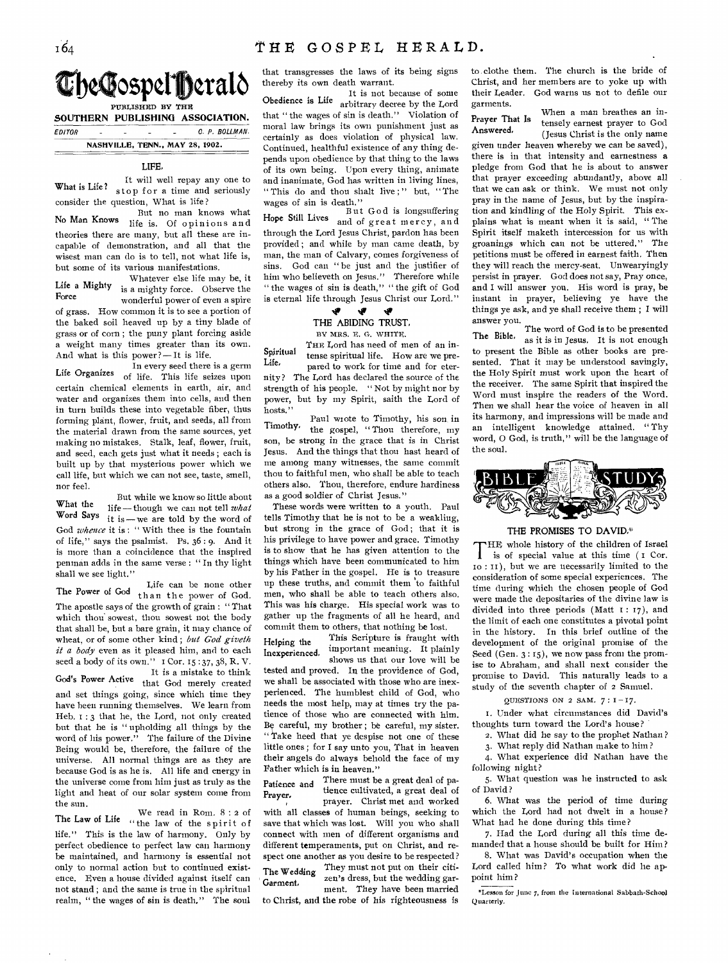**The Gospel Berald** 

PUBLISHED BY THE **SOUTHERN PUBLISHING ASSOCIATION.** 

 $EDITOR$   $C. P. BOLLMAN.$ 

NASHVILLE, TENN., MAY 28, 1902.

### LIFE

It will well repay any one to What is Life? stop for a time and seriously consider the question, What is life?

But no man knows what No Man Knows life is. Of opinions and theories there are many, but all these are incapable of demonstration, and all that the wisest man can do is to tell, not what life is, but some of its various manifestations.

Whatever else life may be, it Life a Mighty is a mighty force. Observe the<br>Force wonderful power of even a spire of grass. How common it is to see a portion of the baked soil heaved up by a tiny blade of grass or of corn ; the puny plant forcing aside a weight many times greater than its own. And what is this power ? —It is life.

In every seed there is a germ Life Organizes of life. This life seizes upon certain chemical elements in earth, air, and water and organizes them into cells, and then in turn builds these into vegetable fiber, thus forming plant, flower, fruit, and seeds, all from the material drawn from the same sources, yet making no mistakes. Stalk, leaf, flower, fruit, and seed, each gets just what it needs ; each is built up by that mysterious power which we call life, but which we can not see, taste, smell, nor feel.

What the Word Says it is—we are told by the word of life - though we can not tell *what* God *whence* it is : " With thee is the fountain of life," says the psalmist. Ps. 36: 9. And it is more than a coincidence that the inspired penman adds in the same verse : " In thy light shall we see light." But while we know so little about

The Power of God than the power of God. Life can be none other The apostle says of the growth of grain : " That which thou sowest, thou sowest not the body that shall be, but a bare grain, it may chance of wheat, or of some other kind; but God giveth *it a body* even as it pleased him, and to each seed a body of its own." I Cor. 15:37, 38, R. V. It is a mistake to think God's Power Active that God merely created and set things going, since which time they have been running themselves. We learn from Heb.  $1:3$  that he, the Lord, not only created but that he is " upholding all things by the word of his power." The failure of the Divine Being would be, therefore, the failure of the universe. All normal things are as they are because God is as he is. All life and energy in the universe come from him just as truly as the light and heat of our solar system come from the sun.

We read in Rom. 8 : 2 of The Law of Life " the law of the spirit of life." This is the law of harmony. Only by perfect obedience to perfect law can harmony be maintained, and harmony is essential not only to normal action but to continued existence. Even a house divided against itself can not stand ; and the same is true in the spiritual realm, " the wages of sin is death." The soul

that transgresses the laws of its being signs thereby its own death warrant.

It is not because of some Obedience is Life arbitrary decree by the Lord that "the wages of sin is death." Violation of moral law brings its own punishment just as certainly as does violation of physical law. Continued, healthful existence of any thing depends upon obedience by that thing to the laws of its own being. Upon every thing, animate and inanimate, God has written in living lines, " This do and thou shalt live;" but, "The wages of sin is death."

Hope Still Lives and of great mercy, and But God is longsuffering through the Lord Jesus Christ, pardon has been provided ; and while by man came death, by man, the man of Calvary, comes forgiveness of sins. God can "be just and the justifier of him who believeth on Jesus." Therefore while " the wages of sin is death," " the gift of God is eternal life through Jesus Christ our Lord."

### ir ir

THE ABIDING TRUST,

BY MRS. E. G. WHITE.

THE Lord has need of men of an in- $Spiritud$  tense spiritual life. How are we pre-<br>Life. pared to work for time and for eternity? The Lord has declared the source of the strength of his people. " Not by might nor by power, but by my Spirit, saith the Lord of hosts."

Paul wrote to Timothy, his son, in Timothy, the gospel, " Thou therefore, my son, be strong in the grace that is in Christ Jesus. And the things that thou hast heard of me among many witnesses, the same commit thou to faithful men, who shall be able to teach others also. Thou, therefore, endure hardiness as a good soldier of Christ Jesus."

These words were written to a youth. Paul tells Timothy that he is not to be a weakling, but strong in the grace of God; that it is his privilege to have power and grace. Timothy is to show that he has given attention to the things which have been communicated to him by his Father in the gospel. He is to treasure up these truths, and commit them to faithful men, who shall be able to teach others also. This was his charge. His special work was to gather up the fragments of all he heard, and commit them to others, that nothing be lost.

Helping the This Scripture is fraught with important meaning. It plainly Inexperienced, important meaning. It plainly<br>shows us that our love will be tested and proved. In the providence of God, we shall be associated with those who are inexperienced. The humblest child of God, who needs the most help, may at times try the patience of those who are connected with him. Be careful, my brother; be careful, my sister. "Take heed that ye despise not one of these little ones ; for I say unto you, That in heaven their angels do always behold the face of my Father which is in heaven."

Patience and There must be a great deal of pa-**Prayer,** tience cultivated, a great deal of prayer. Christ met and worked with all classes of human beings, seeking to save that which was lost. Will you who shall connect with men of different organisms and different temperaments, put on Christ, and respect one another as you desire to be respected? They must not put on their citi-The Wedding They must not put on their citi-<br>Garment, zen's dress, but the wedding garment. They have been married to Christ, and the robe of his righteousness is

to clothe them. The church is the bride of Christ, and her members are to yoke up with their Leader. God warns us not to defile our garments.

When a man breathes an in-Prayer That Is Answered, tensely earnest prayer to God (Jesus Christ is the only name

given under heaven whereby we can be saved), there is in that intensity and earnestness a pledge from God that he is about to answer that prayer exceeding abundantly, above all that we can ask or think. We must not only pray in the name of Jesus, but by the inspiration and kindling of the Holy Spirit. This explains what is meant when it is said, " The Spirit itself maketh intercession for us with groanings which can not be uttered." The petitions must be offered in earnest faith. Then they will reach the mercy-seat. Unwearyingly persist in prayer. God does not say, Pray once, and I will answer you. His word is pray, be instant in prayer, believing ye have the things ye ask, and ye shall receive them ; I will

answer you.<br>The word of God is to be presented The Bible, as it is in *Jesus*. It is not enough to present the Bible as other books are presented. That it may be understood savingly, the Holy Spirit must work upon the heart of the receiver. The same Spirit that inspired the Word must inspire the readers of the Word. Then we shall hear the voice of heaven in all its harmony, and impressions will be made and an intelligent knowledge attained. " Thy word, 0 God, is truth," will be the language of the soul.



### THE PROMISES TO DAVID.\*

THE whole history of the children of Israel<br>is of special value at this time (1 Cor. is of special value at this time (I Cor. Io : II), but we are necessarily limited to the consideration of some special experiences. The time during which the chosen people of God were made the depositaries of the divine law is divided into three periods (Matt  $1: 17$ ), and the limit of each one constitutes a pivotal point in the history. In this brief outline of the development of the original promise of the Seed (Gen. 3:15), we now pass from the promise to Abraham, and shall next consider the promise to David. This naturally leads to a study of the seventh chapter of 2 Samuel.

QUESTIONS ON 2 SAM.  $7:1-17$ .

1. Under what circumstances did David's thoughts turn toward the Lord's house?

2. What did he say to the prophet Nathan ?

3. What reply did Nathan make to him?

4. What experience did Nathan have the

Quarterly.

following night? 5. What question was he instructed to ask

of David? 6. What was the period of time during which the Lord had not dwelt in a house?

What had he done during this time? 7. Had the Lord during all this time demanded that a house should be built for Him?

8. What was David's occupation when the Lord called him? To what work did he ap-

point him ? "Lesson for June 7, from the International Sabbath-School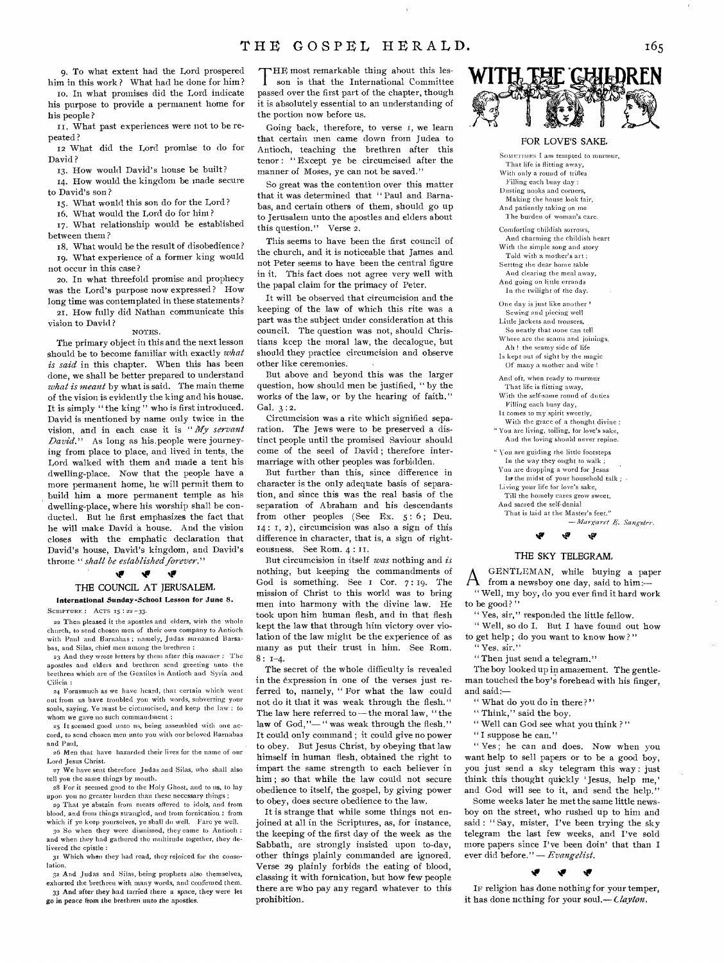9. To what extent had the Lord prospered him in this work? What had he done for him?

to. In what promises did the Lord indicate his purpose to provide a permanent home for his people ?

II. What past experiences were not to be repeated ?

**<sup>12</sup>**What did the Lord promise to do for David ?

13. How would David's house be built?

14. How would the kingdom be made secure to David's son ?

15. What would this son do for the Lord?

16. What would the Lord do for him?

17. What relationship would be established between them ?

18. What would be the result of disobedience? 19. What experience of a former king would not occur in this case?

zo. In what threefold promise and prophecy was the Lord's purpose now expressed? How long time was contemplated in these statements?

21. How fully did Nathan communicate this vision to David ?

NOTES.

The primary object in this and the next lesson should be to become familiar with exactly *what is said* in this chapter. When this has been done, we shall be better prepared to understand *what is meant* by what is said. The main theme of the vision is evidently the king and his house. It is simply " the king " who is first introduced. David is mentioned by name only twice in the vision, and in each case it is *" My servant David."* As long as his,people were journeying from place to place, and lived in tents, the Lord walked with them and made a tent his dwelling-place. Now that the people have a more permanent home, he will permit them to build him a more permanent temple as his dwelling-place, where his worship shall be conducted. But he first emphasizes the fact that he will make David 'a house. And the vision closes with the emphatic declaration that David's house, David's kingdom, and David's throne *"shall be established forever."* 

#### ي  $\pmb{\cdot}$ ÷

### THE COUNCIL AT JERUSALEM,

International Sunday-School Lesson for June **8.**  SCRIPTURE : ACTS 15 : 22-33.

22 Then pleased it the apostles arid elders, with the whole church, to send chosen men of their own company to Antioch with Paul and Barnabas ; namely, Judas surnamed Barsabas, and Silas, chief men among the brethren :

23 And they wrote letters by them after this manner : The apostles and elders and brethren send greeting unto the brethren which are of the Gentiles in Antioch and Syria and Cilicia :

24 Forasmuch as we have heard, that certain which **went**  out from us have troubled you with words, subverting **your**  souls, saying, Ye must be circumcised, and keep the **law : to**  whom we gave no such commandment:

25 It seemed good unto us, being assembled with one ac**cord,** to send chosen men unto you with our beloved **Barnabas and** Paul,

ad Men that have hazarded their lives for the name of our Lord Jesus Christ.

27 We have sent therefore Judas and Silas, **who** shall also tell you the same things by mouth.

28 For it seemed good to the Holy Ghost, and to us, to lay upon you no greater burden than these necessary things ; 29 That ye abstain from meats offered to idols, and from

blood, and from things strangled, and from fornication : from which if ye keep yourselves, ye shall do well. Fare ye well.

3o So when they were dismissed, they came to Antioch and when they had gathered the multitude together, they delivered the epistle

31 Which when they had read, they rejoiced for the consolation.

32 And Judas and Silas, being prophets also themselves, exhorted the brethren with many words, and confirmed them. 33 **And after they had tarried there a space, they were let** 

go in **peace** from the **brethren** unto the **apostles.** 

THE most remarkable thing about this lesson is that the International Committee passed over the first part of the chapter, though HE most remarkable thing about this lesson is that the International Committee it is absolutely essential to an understanding of the portion now before us.

Going back, therefore, to verse I, we learn that certain men came down from Judea to Antioch, teaching the brethren after this tenor : " Except ye be circumcised after the manner of Moses, ye can not be saved."

So great was the contention over this matter that it was determined that " Paul and Barnabas, and certain others of them, should go up to Jerusalem unto the apostles and elders about this question." Verse 2.

This seems to have been the first council of the church, and it is noticeable that James and not Peter seems to have been the central figure in it. This fact does not agree very well with the papal claim for the primacy of Peter.

It will be observed that circumcision and the keeping of the law of which this rite was a part was the subject under consideration at this council. The question was not, should Christians keep the moral law, the decalogue, but should they practice circumcision and observe other like ceremonies.

But above and beyond this was the larger question, how should men be justified, " by the works of the law, or by the hearing of faith." Gal. 3 : **2.** 

Circumcision was a rite which signified separation. The Jews were to be preserved a distinct people until the promised Saviour should come of the seed of David ; therefore intermarriage with other peoples was forbidden.

But further than this, since difference in character is the only adequate basis of separation, and since this was the real basis of the separation of Abraham and his descendants from other peoples (See Ex. 5:6; Deu. 14: I, 2), circumcision was also a sign of this difference in character, that is, a sign of righteousness. See Rom. 4: 11.

But circumcision in itself *was* nothing and *is*  nothing, but keeping the commandments of God is something. See I Cor. 7:19. The mission of Christ to this world was to bring men into harmony with the divine law. He took upon him human flesh, and in that flesh kept the law that through him victory over violation of the law might be the experience of as many as put their trust in him. See Rom.  $8: 1-4.$ 

The secret of the whole difficulty is revealed in the expression in one of the verses just referred to, namely, "For what the law could not do it that it was weak through the flesh." The law here referred to — the moral law, " the law of God,"-" was weak through the flesh." It could only command ; it could give no power to obey. But Jesus Christ, by obeying that law himself in human flesh, obtained the right to impart the same strength to each believer in him ; so that while the law could not secure obedience to itself, the gospel, by giving power to obey, does secure obedience to the law.

It is strange that while some things not enjoined at all in the Scriptures, as, for instance, the keeping of the first day of the week as the Sabbath, are strongly insisted upon to-day, other things plainly commanded are ignored. Verse 29 plainly forbids the eating of blood, classing it with fornication, but how few people there are who pay any regard whatever to this prohibition.



### FOR LOVE'S SAKE

SOMETIMES I am tempted to murmur, **That life is flitting away, With only a round of trifles Filling each busy day ; Dusting nooks and corners, Making the house look fair,**  And patiently **taking on me**  The **burden of woman's care.** 

Comforting **childish sorrows, And charming the childish heart**  With **the simple song** and **story**  Told **with a mother's art ; Setttng the dear home table**  And **clearing the meal away,**  And going **on little errands**  In the **twilight of the day.** 

One **day is just like another Sewing and piecing well Little jackets and trousers, So neatly that none can** tell Where are **the seams and** joinings. Ah ! **the seamy side** of life

Is kept **out of sight by** the **magic**  Of **many a mother and** wife !

And oft, when ready to murmur That **life is flitting away,**  With **the self-same round of** duties

Filling each **busy day,** 

**It comes to my spirit sweetly,**  With the grace of a thought divine :

**"You** are **living, toiling,** for love's sake, And the loving should **never repine.** 

" You **are guiding** the little footsteps **In the way they ought to walk ;**  You **are dropping a** word for **Jesus**  In the midst of your household talk ; . Living **your life for love's sake, Till the homely cares grow sweet,**  And sacred the self-denial That is laid at the Master's feet." *—Margaret .4. Sangster.* 



### THE SKY TELEGRAM,

A GENTLEMAN, while buying a paper from a newsboy one day, said to him:— " Well, my boy, do you ever find it hard work to be good?"

" Yes, sir," responded the little fellow.

" Well, so do I. But I have found out how to get help; do you want to know how?" " Yes, sir."

"Then just send a telegram."

The boy looked up in amazement. The gentleman touched the boy's forehead with his finger, and said:

" What do you do in there?"

" Think," said the boy.

" Well can God see what you think ? "

"I suppose he can."

" Yes ; he can and does. Now when you want help to sell papers or to be a good boy, you just send a sky telegram this way : just think this thought quickly ' Jesus, help me,' and God will see to it, and send the help.'

Some weeks later he met the same little newsboy on the street, who rushed up to him and said : " Say, mister, I've been trying the sky telegram the last few weeks, and I've sold more papers since I've been doin' that than I ever did before." — *Evangelist.* 



*IF* religion has done nothing for your temper, it has done ucthing for your soul.— *Clayton.*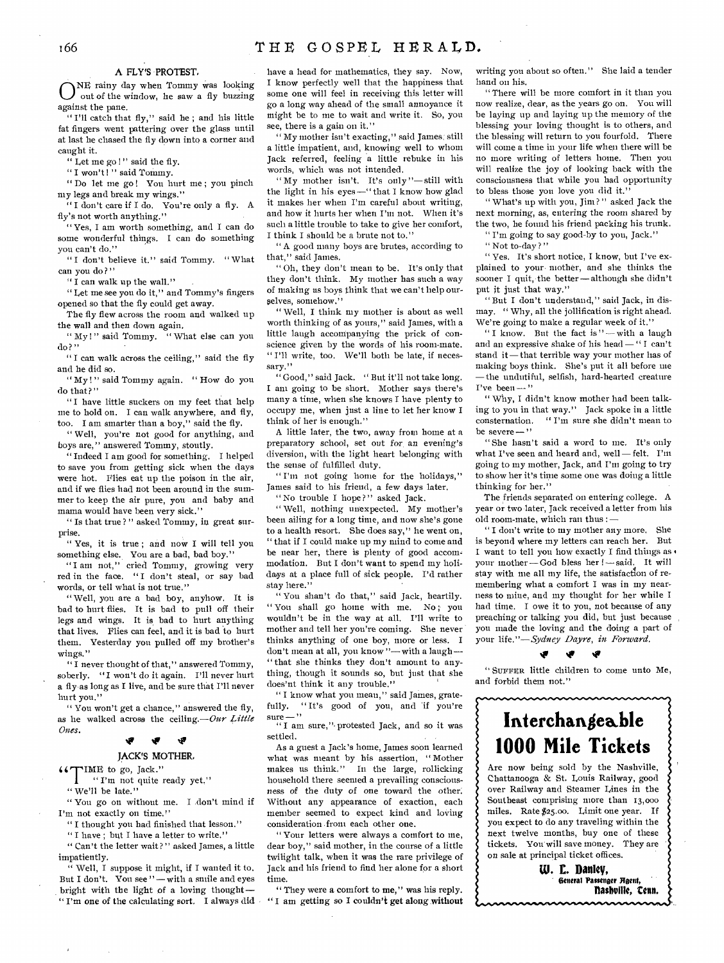ONE rainy day when Tommy was looking<br>out of the window, he saw a fly buzzing out of the window, he saw a fly buzzing against the pane.

"I'll catch that fly," said he; and his little fat fingers went pattering over the glass until at last he chased the fly down into a corner and caught it.

" Let me go !" said the fly.

" I won't ! " said Tommy.

" Do let me go! You hurt me; you pinch my legs and break my wings."

" I don't care if I do. You're only a fly. A fly's not worth anything."

" Yes, I am worth something, and I can do some wonderful things. I can do something you can't do."

"I don't believe it." said Tommy. "What can you do ? "

" I can walk up the wall."

" Let me see you do it," and Tommy's fingers opened so that the fly could get away.

The fly flew across the room and walked up the wall and then down again.

" My!" said Tommy. " What else can you do ? "

"I can walk across the ceiling," said the fly and he did so.

" My!" said Tommy again. " How do you do that?"

"I have little suckers on my feet that help me to hold on. I can walk anywhere, and fly, too. I am smarter than a boy," said the fly.

" Well, you're not good for anything, and boys are," answered Tommy, stoutly.

" Indeed I am good for something. I helped to save you from getting sick when the days were hot. Flies eat up the poison in the air, and if we flies had not been around in the summer to keep the air pure, you and baby and mama would have been very sick."

" Is that true?" asked Tommy, in great surprise.

" Yes, it is true ; and now I will tell you something else. You are a bad, bad boy."

"I am not," cried Tommy, growing very red in the face. " I don't steal, or say bad words, or tell what is not true."

" Well, you are a bad boy, anyhow. It is bad to hurt flies. It is bad to pull off their legs and wings. It is bad to hurt anything that lives. Flies can feel, and it is bad to hurt them. Yesterday you pulled off my brother's wings."

"I never thought of that," answered Tommy, soberly. "I won't do it again. I'll never hurt a fly as long as I live, and be sure that I'll never hurt you."

" You won't get a chance," answered the fly, as he walked across the ceiling.—Our *Little Ones.* 

## **tri**

### **JACK'S MOTHER,**

**"1" IME** to go, Jack."

" I'm not quite ready yet."

" We'll be late."

" You go on without me. I don't mind if I'm not exactly on time."

" I thought you had finished that lesson."

"I have; but I have a letter to write."

" Can't the letter wait? " asked James, a little impatiently.

" Well, I suppose it might, if I wanted it to. But I don't. You *see"—* with a smile and eyes bright with the light of a loving thought— " I'm one of the calculating sort. **I** always did have a head for mathematics, they say. Now, I know perfectly well that the happiness that some one will feel in receiving this letter will go a long way ahead of the small annoyance it might be to me to wait and write it. So, you see, there is a gain on it."

" My mother isn't exacting," said James, still a little impatient, and, knowing well to whom Jack referred, feeling a little rebuke in his words, which was not intended.

"My mother isn't. It's only"—still with the light in his eyes —" that I know how glad it makes her when I'm careful about writing, and how it hurts her when I'm not. When it's such a little trouble to take to give her comfort, I think I should be a brute not to."

" A good many boys are brutes, according to that," said James.

" Oh, they don't mean to be. It's only that they don't think. My mother has such a way of making us boys think that we can't help ourselves, somehow."

" Well, I think my mother is about as well worth thinking of as yours," said James, with a little laugh accompanying the prick of conscience given by the words of his room-mate. " I'll write, too. We'll both be late, if necessary."

" Good," said Jack. " But it'll not take long. I am going to be short. Mother says there's many a time, when she knows I have plenty to occupy me, when just a line to let her know I think of her is enough."

A little later, the two, away from home at a preparatory school, *set* out for, an evening's diversion, with the light heart belonging with the sense of fulfilled duty.

"I'm not going home for the holidays," James said to his friend, a few days later.

" No trouble I hope?" asked Jack.

" Well, nothing unexpected. My mother's been ailing for a long time, and now she's gone to a health resort. She does say," he went on, " that if I could make up my mind to come and be near her, there is plenty of good accommodation. But I don't want to spend my holidays at a place full of sick people. I'd rather stay here.'

" You shan't do that," said Jack, heartily. " You shall go home with me. No ; you wouldn't be in the way at all. I'll write to mother and tell her you're coming. She never thinks anything of one boy, more or less. I don't mean at all, you know "—with a laugh— " that she thinks they don't amount to anything, though it sounds so, but just that she does'nt think it any trouble."

" I know what you mean," said James, gratefully. "It's good of you, and if you're<br>sure..." sure— " " I am sure,"- protested Jack, and so it was

settled.

As a guest a Jack's home, James soon learned what was meant by his assertion, " Mother makes us think." In the large, rollicking household there seemed a prevailing consciousness *of* the duty of one toward the other: Without any appearance of exaction, each member seemed to expect kind and loving consideration from each other one.

" Your letters were always a comfort to me, dear boy," said mother, in the course of a little twilight talk, when it was the rare privilege of Jack and his friend to find her alone for a short time.

" They were a comfort to me," was his reply. " I am getting so I couldn't get along without writing you about so often." She laid a tender hand on his.

" There will be more comfort in it than you now realize, dear, as the years go on. You will be laying up and laying up the memory of the blessing your loving thought is to others, and the blessing will return to you fourfold. There will come a time in your life when there will be no more writing of letters home. Then you will realize the joy of looking back with the consciousness that while you had opportunity to bless those you love you did it."

" What's up with you, Jim? " asked Jack the next morning, as, entering the room shared by the two, he found his friend packing his trunk. " I'm going to say good-by to you, Jack."

" Not to-day?"

" Yes. It's short notice, I know, but I've explained to your• mother, and she thinks the sooner I quit, the better — although she didn't put it just that way."

" But I don't understand," said Jack, in dismay. " Why, all the jollification is right ahead. We're going to make a regular week of it.'

"I know. But the fact is" - with a laugh and an expressive shake of his head — " I can't stand it—that terrible way your mother has of making boys think. She's put it all before me — the undutiful, selfish, hard-hearted creature  $I've been -''$ 

" Why, I didn't know mother had been talking to you in that way." Jack spoke in a little consternation. " I'm sure she didn't mean to be severe-'

" She hasn't said a word to me. It's only what I've seen and heard and, well — felt. I'm going to my mother, Jack, and I'm going to try to show her it's time some one was doing a little thinking for her."

The friends separated on entering college. A year or two later, Jack received a letter from his old room-mate, which ran thus :—

" I don't write to my mother any more. She is beyond where my letters can reach her. But I want to tell you how exactly I find things as your mother—God bless her ! — said. It will stay with me all my life, the satisfaction of remembering what a comfort I was in my nearness to mine, and my thought for her while I had time. I owe it to you, not because of any preaching or talking you did, but just because you made the loving and the doing a part of your *life."—Sydney Dayre, in Forward.* 

### **SP**

" SUFFER little children to come unto Me, and forbid them not."

# **Interchangeable 1000 Mile Tickets**

Are now being sold by the Nashville, Chattanooga & St. Louis Railway, good over Railway and Steamer Lines in the Southeast comprising more than 13,000 miles. Rate \$25.00. Limit one year. If you expect to do any traveling within the next twelve months, buy one of these tickets. You will save money. They are on sale at principal ticket offices.

> **W. E. Danley, General Passenger Bgent, Ilashvillt, Can.**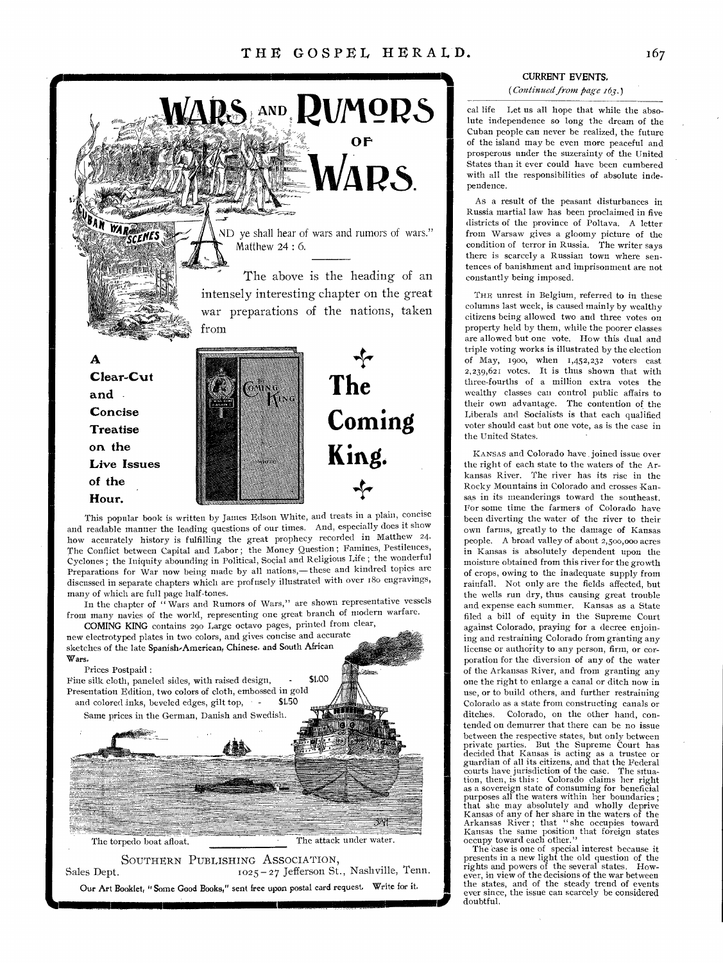

and readable manner the leading questions of our times. And, especially does it show how accurately history is fulfilling the great prophecy recorded in Matthew 24. The Conflict between Capital and Labor ; the Money Question ; Famines, Pestilences, Cyclones ; the Iniquity abounding in Political, Social and Religious Life ; the wonderful Preparations for War now being made by all nations,—these and kindred topics are discussed in separate chapters which are profusely illustrated with over 180 engravings, many of which are full page half-tones.

In the chapter of " Wars and Rumors of Wars," are shown representative vessels from many navies of the world, representing one great branch of modern warfare.

COMING KING contains 290 Large octavo pages, printed from clear, new electrotyped plates in two colors, and gives concise and accurate sketches of the late Spanish-American, Chinese. and South African Wars.

### Prices Postpaid :

Fine silk cloth, paneled sides, with raised design, - \$1,00 Presentation Edition, two colors of cloth, embossed in gold and colored inks, beveled edges, gilt top,  $\cdot$   $\cdot$  \$1.50

Same prices in the German, Danish and Swedish.



The torpedo boat afloat. The attack under water.

SOUTHERN PUBLISHING ASSOCIATION, Sales Dept. 1025 - 27 Jefferson St., Nashville, Tenn. Our Art Booklet, "Some Good Books," sent free upon postal card request. Write for it. SOCIATION,<br>
Jefferson St., Nashville, Tenn.<br>
on postal card request. Write for it.

## CURRENT EVENTS.

*(Continued from page 163.)* 

cal life Let us all hope that while the absolute independence so long the dream of the Cuban people can never be realized, the future of the island may be even more peaceful and prosperous under the suzerainty of the United States than it ever could have been cumbered with all the responsibilities of absolute independence.

As a result of the peasant disturbances in Russia martial law has been proclaimed in five districts of the province of Poltava. A letter from Warsaw gives a gloomy picture of the condition of terror in Russia. The writer says there is scarcely a Russian town where sentences of banishment and imprisonment are not constantly being imposed.

THE unrest in Belgium, referred to in these columns last week, is caused mainly by wealthy citizens being allowed two and three votes on property held by them, while the poorer classes are allowed but one vote. How this dual and triple voting works is illustrated by the election of May, 1900, when  $1,452,232$  voters cast 2,239,621 votes. It is thus shown that with three-fourths of a million extra votes the wealthy classes can control public affairs to their own advantage. The contention of the Liberals and Socialists is that each qualified voter should cast but one vote, as is the case in the United States.

KANSAS and Colorado have joined issue over the right of each state to the waters of the Arkansas River. The river has its rise in the Rocky Mountains in Colorado and crosses Kansas in its meanderings toward the southeast. For some time the farmers of Colorado have been diverting the water of the river to their own farms, greatly to the damage of Kansas people. A broad valley of about 2,500,000 acres in Kansas is absolutely dependent upon the moisture obtained from this river for the growth of crops, owing to the inadequate supply from rainfall. Not only are the fields affected, but the wells run dry, thus causing great trouble and expense each summer. Kansas as a State filed a bill of equity in the Supreme Court against Colorado, praying for a decree enjoining and restraining Colorado from granting any license or authority to any person, firm, or corporation for the diversion of any of the water of the Arkansas River, and from granting any one the right to enlarge a canal or ditch now in use, or to build others, and further restraining Colorado as a state from constructing canals or ditches. Colorado, on the other hand, contended on demurrer that there can be no issue between the respective states, but only between private parties. But the Supreme Court has decided that Kansas is acting as a trustee or guardian of all its citizens, and that the Federal courts have jurisdiction of the case. The situation, then, is this : Colorado claims her right as a sovereign state of consuming for beneficial purposes all the waters within her boundaries ; that she may absolutely and wholly deprive Kansas of any of her share in the waters of the Arkansas River ; that " she occupies toward Kansas the same position that foreign states occupy toward each other."

The case is one of special interest because it presents in a new light the old question of the rights and powers of the several states. How-ever, in view of the decisions of the war between the states, and of the steady trend of events ever since, the issue can scarcely be considered doubtful.